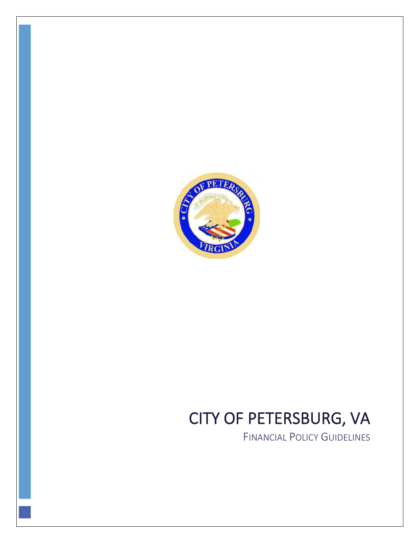

# CITY OF PETERSBURG, VA

FINANCIAL POLICY GUIDELINES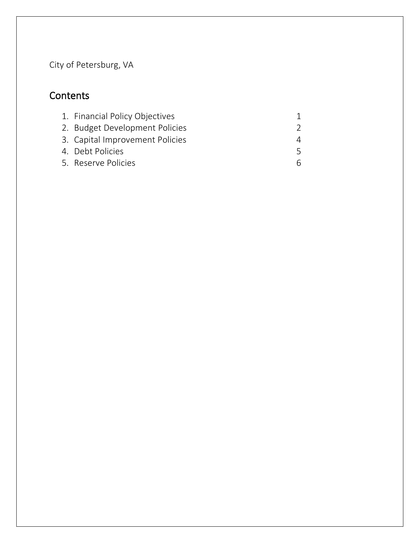# **Contents**

| 1. Financial Policy Objectives  |    |
|---------------------------------|----|
| 2. Budget Development Policies  |    |
| 3. Capital Improvement Policies | 4  |
| 4. Debt Policies                | Ь. |
| 5. Reserve Policies             |    |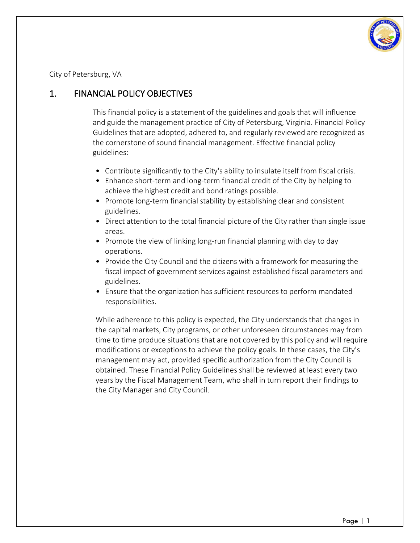

# 1. FINANCIAL POLICY OBJECTIVES

This financial policy is a statement of the guidelines and goals that will influence and guide the management practice of City of Petersburg, Virginia. Financial Policy Guidelines that are adopted, adhered to, and regularly reviewed are recognized as the cornerstone of sound financial management. Effective financial policy guidelines:

- Contribute significantly to the City's ability to insulate itself from fiscal crisis.
- Enhance short-term and long-term financial credit of the City by helping to achieve the highest credit and bond ratings possible.
- Promote long-term financial stability by establishing clear and consistent guidelines.
- Direct attention to the total financial picture of the City rather than single issue areas.
- Promote the view of linking long-run financial planning with day to day operations.
- Provide the City Council and the citizens with a framework for measuring the fiscal impact of government services against established fiscal parameters and guidelines.
- Ensure that the organization has sufficient resources to perform mandated responsibilities.

While adherence to this policy is expected, the City understands that changes in the capital markets, City programs, or other unforeseen circumstances may from time to time produce situations that are not covered by this policy and will require modifications or exceptions to achieve the policy goals. In these cases, the City's management may act, provided specific authorization from the City Council is obtained. These Financial Policy Guidelines shall be reviewed at least every two years by the Fiscal Management Team, who shall in turn report their findings to the City Manager and City Council.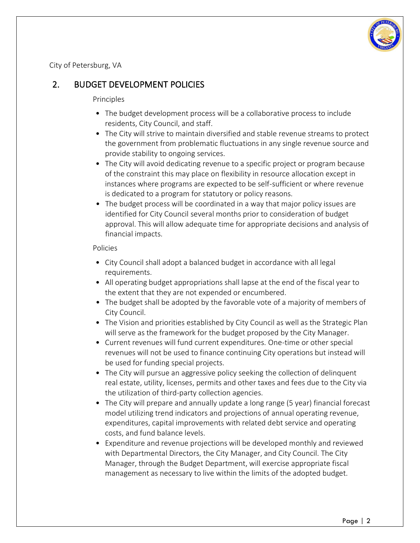

# 2. BUDGET DEVELOPMENT POLICIES

#### **Principles**

- The budget development process will be a collaborative process to include residents, City Council, and staff.
- The City will strive to maintain diversified and stable revenue streams to protect the government from problematic fluctuations in any single revenue source and provide stability to ongoing services.
- The City will avoid dedicating revenue to a specific project or program because of the constraint this may place on flexibility in resource allocation except in instances where programs are expected to be self-sufficient or where revenue is dedicated to a program for statutory or policy reasons.
- The budget process will be coordinated in a way that major policy issues are identified for City Council several months prior to consideration of budget approval. This will allow adequate time for appropriate decisions and analysis of financial impacts.

#### Policies

- City Council shall adopt a balanced budget in accordance with all legal requirements.
- All operating budget appropriations shall lapse at the end of the fiscal year to the extent that they are not expended or encumbered.
- The budget shall be adopted by the favorable vote of a majority of members of City Council.
- The Vision and priorities established by City Council as well as the Strategic Plan will serve as the framework for the budget proposed by the City Manager.
- Current revenues will fund current expenditures. One-time or other special revenues will not be used to finance continuing City operations but instead will be used for funding special projects.
- The City will pursue an aggressive policy seeking the collection of delinquent real estate, utility, licenses, permits and other taxes and fees due to the City via the utilization of third-party collection agencies.
- The City will prepare and annually update a long range (5 year) financial forecast model utilizing trend indicators and projections of annual operating revenue, expenditures, capital improvements with related debt service and operating costs, and fund balance levels.
- Expenditure and revenue projections will be developed monthly and reviewed with Departmental Directors, the City Manager, and City Council. The City Manager, through the Budget Department, will exercise appropriate fiscal management as necessary to live within the limits of the adopted budget.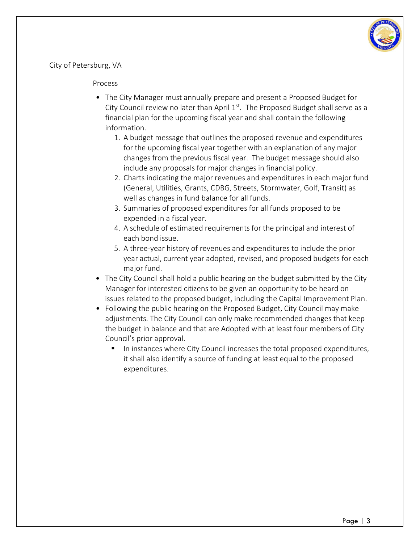

#### Process

- The City Manager must annually prepare and present a Proposed Budget for City Council review no later than April  $1<sup>st</sup>$ . The Proposed Budget shall serve as a financial plan for the upcoming fiscal year and shall contain the following information.
	- 1. A budget message that outlines the proposed revenue and expenditures for the upcoming fiscal year together with an explanation of any major changes from the previous fiscal year. The budget message should also include any proposals for major changes in financial policy.
	- 2. Charts indicating the major revenues and expenditures in each major fund (General, Utilities, Grants, CDBG, Streets, Stormwater, Golf, Transit) as well as changes in fund balance for all funds.
	- 3. Summaries of proposed expenditures for all funds proposed to be expended in a fiscal year.
	- 4. A schedule of estimated requirements for the principal and interest of each bond issue.
	- 5. A three-year history of revenues and expenditures to include the prior year actual, current year adopted, revised, and proposed budgets for each major fund.
- The City Council shall hold a public hearing on the budget submitted by the City Manager for interested citizens to be given an opportunity to be heard on issues related to the proposed budget, including the Capital Improvement Plan.
- Following the public hearing on the Proposed Budget, City Council may make adjustments. The City Council can only make recommended changes that keep the budget in balance and that are Adopted with at least four members of City Council's prior approval.
	- In instances where City Council increases the total proposed expenditures, it shall also identify a source of funding at least equal to the proposed expenditures.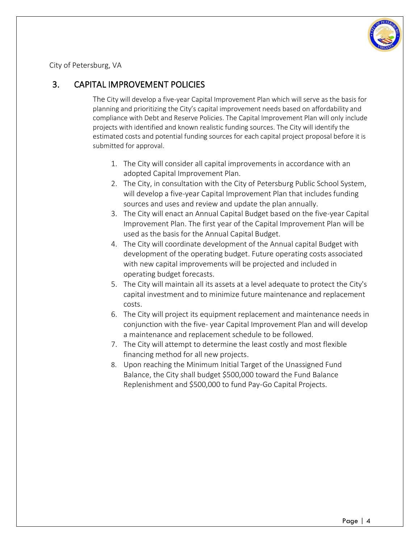

# 3. CAPITAL IMPROVEMENT POLICIES

The City will develop a five-year Capital Improvement Plan which will serve as the basis for planning and prioritizing the City's capital improvement needs based on affordability and compliance with Debt and Reserve Policies. The Capital Improvement Plan will only include projects with identified and known realistic funding sources. The City will identify the estimated costs and potential funding sources for each capital project proposal before it is submitted for approval.

- 1. The City will consider all capital improvements in accordance with an adopted Capital Improvement Plan.
- 2. The City, in consultation with the City of Petersburg Public School System, will develop a five-year Capital Improvement Plan that includes funding sources and uses and review and update the plan annually.
- 3. The City will enact an Annual Capital Budget based on the five-year Capital Improvement Plan. The first year of the Capital Improvement Plan will be used as the basis for the Annual Capital Budget.
- 4. The City will coordinate development of the Annual capital Budget with development of the operating budget. Future operating costs associated with new capital improvements will be projected and included in operating budget forecasts.
- 5. The City will maintain all its assets at a level adequate to protect the City's capital investment and to minimize future maintenance and replacement costs.
- 6. The City will project its equipment replacement and maintenance needs in conjunction with the five- year Capital Improvement Plan and will develop a maintenance and replacement schedule to be followed.
- 7. The City will attempt to determine the least costly and most flexible financing method for all new projects.
- 8. Upon reaching the Minimum Initial Target of the Unassigned Fund Balance, the City shall budget \$500,000 toward the Fund Balance Replenishment and \$500,000 to fund Pay-Go Capital Projects.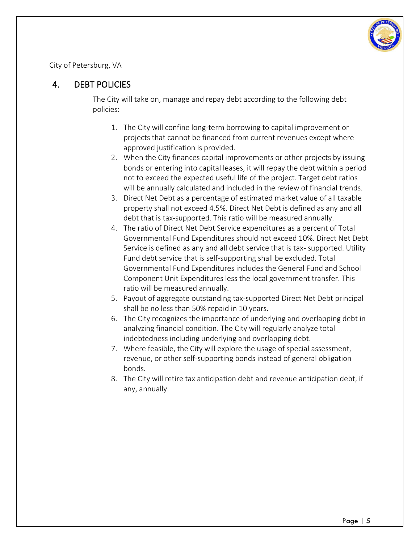

## 4. DEBT POLICIES

The City will take on, manage and repay debt according to the following debt policies:

- 1. The City will confine long-term borrowing to capital improvement or projects that cannot be financed from current revenues except where approved justification is provided.
- 2. When the City finances capital improvements or other projects by issuing bonds or entering into capital leases, it will repay the debt within a period not to exceed the expected useful life of the project. Target debt ratios will be annually calculated and included in the review of financial trends.
- 3. Direct Net Debt as a percentage of estimated market value of all taxable property shall not exceed 4.5%. Direct Net Debt is defined as any and all debt that is tax-supported. This ratio will be measured annually.
- 4. The ratio of Direct Net Debt Service expenditures as a percent of Total Governmental Fund Expenditures should not exceed 10%. Direct Net Debt Service is defined as any and all debt service that is tax- supported. Utility Fund debt service that is self-supporting shall be excluded. Total Governmental Fund Expenditures includes the General Fund and School Component Unit Expenditures less the local government transfer. This ratio will be measured annually.
- 5. Payout of aggregate outstanding tax-supported Direct Net Debt principal shall be no less than 50% repaid in 10 years.
- 6. The City recognizes the importance of underlying and overlapping debt in analyzing financial condition. The City will regularly analyze total indebtedness including underlying and overlapping debt.
- 7. Where feasible, the City will explore the usage of special assessment, revenue, or other self-supporting bonds instead of general obligation bonds.
- 8. The City will retire tax anticipation debt and revenue anticipation debt, if any, annually.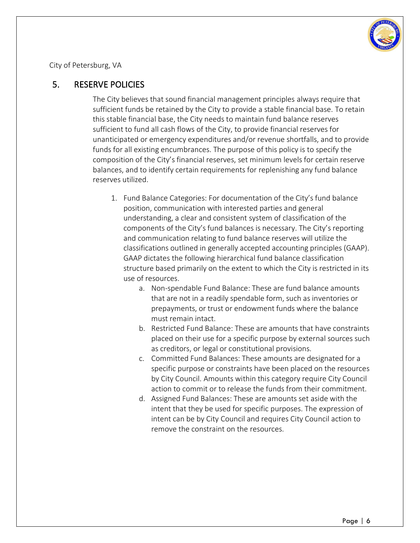

### 5. RESERVE POLICIES

The City believes that sound financial management principles always require that sufficient funds be retained by the City to provide a stable financial base. To retain this stable financial base, the City needs to maintain fund balance reserves sufficient to fund all cash flows of the City, to provide financial reserves for unanticipated or emergency expenditures and/or revenue shortfalls, and to provide funds for all existing encumbrances. The purpose of this policy is to specify the composition of the City's financial reserves, set minimum levels for certain reserve balances, and to identify certain requirements for replenishing any fund balance reserves utilized.

- 1. Fund Balance Categories: For documentation of the City's fund balance position, communication with interested parties and general understanding, a clear and consistent system of classification of the components of the City's fund balances is necessary. The City's reporting and communication relating to fund balance reserves will utilize the classifications outlined in generally accepted accounting principles (GAAP). GAAP dictates the following hierarchical fund balance classification structure based primarily on the extent to which the City is restricted in its use of resources.
	- a. Non-spendable Fund Balance: These are fund balance amounts that are not in a readily spendable form, such as inventories or prepayments, or trust or endowment funds where the balance must remain intact.
	- b. Restricted Fund Balance: These are amounts that have constraints placed on their use for a specific purpose by external sources such as creditors, or legal or constitutional provisions.
	- c. Committed Fund Balances: These amounts are designated for a specific purpose or constraints have been placed on the resources by City Council. Amounts within this category require City Council action to commit or to release the funds from their commitment.
	- d. Assigned Fund Balances: These are amounts set aside with the intent that they be used for specific purposes. The expression of intent can be by City Council and requires City Council action to remove the constraint on the resources.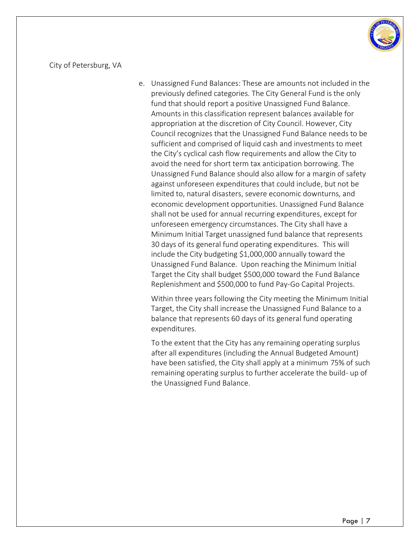

e. Unassigned Fund Balances: These are amounts not included in the previously defined categories. The City General Fund is the only fund that should report a positive Unassigned Fund Balance. Amounts in this classification represent balances available for appropriation at the discretion of City Council. However, City Council recognizes that the Unassigned Fund Balance needs to be sufficient and comprised of liquid cash and investments to meet the City's cyclical cash flow requirements and allow the City to avoid the need for short term tax anticipation borrowing. The Unassigned Fund Balance should also allow for a margin of safety against unforeseen expenditures that could include, but not be limited to, natural disasters, severe economic downturns, and economic development opportunities. Unassigned Fund Balance shall not be used for annual recurring expenditures, except for unforeseen emergency circumstances. The City shall have a Minimum Initial Target unassigned fund balance that represents 30 days of its general fund operating expenditures. This will include the City budgeting \$1,000,000 annually toward the Unassigned Fund Balance. Upon reaching the Minimum Initial Target the City shall budget \$500,000 toward the Fund Balance Replenishment and \$500,000 to fund Pay-Go Capital Projects.

Within three years following the City meeting the Minimum Initial Target, the City shall increase the Unassigned Fund Balance to a balance that represents 60 days of its general fund operating expenditures.

To the extent that the City has any remaining operating surplus after all expenditures (including the Annual Budgeted Amount) have been satisfied, the City shall apply at a minimum 75% of such remaining operating surplus to further accelerate the build- up of the Unassigned Fund Balance.